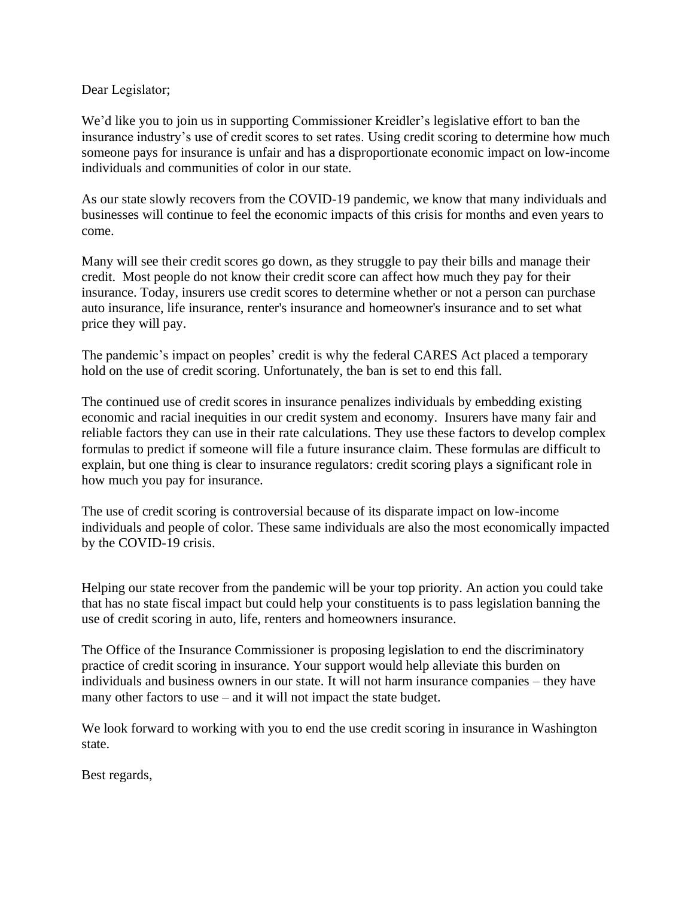## Dear Legislator;

We'd like you to join us in supporting Commissioner Kreidler's legislative effort to ban the insurance industry's use of credit scores to set rates. Using credit scoring to determine how much someone pays for insurance is unfair and has a disproportionate economic impact on low-income individuals and communities of color in our state.

As our state slowly recovers from the COVID-19 pandemic, we know that many individuals and businesses will continue to feel the economic impacts of this crisis for months and even years to come.

Many will see their credit scores go down, as they struggle to pay their bills and manage their credit. Most people do not know their credit score can affect how much they pay for their insurance. Today, insurers use credit scores to determine whether or not a person can purchase auto insurance, life insurance, renter's insurance and homeowner's insurance and to set what price they will pay.

The pandemic's impact on peoples' credit is why the federal CARES Act placed a temporary hold on the use of credit scoring. Unfortunately, the ban is set to end this fall.

The continued use of credit scores in insurance penalizes individuals by embedding existing economic and racial inequities in our credit system and economy. Insurers have many fair and reliable factors they can use in their rate calculations. They use these factors to develop complex formulas to predict if someone will file a future insurance claim. These formulas are difficult to explain, but one thing is clear to insurance regulators: credit scoring plays a significant role in how much you pay for insurance.

The use of credit scoring is controversial because of its disparate impact on low-income individuals and people of color. These same individuals are also the most economically impacted by the COVID-19 crisis.

Helping our state recover from the pandemic will be your top priority. An action you could take that has no state fiscal impact but could help your constituents is to pass legislation banning the use of credit scoring in auto, life, renters and homeowners insurance.

The Office of the Insurance Commissioner is proposing legislation to end the discriminatory practice of credit scoring in insurance. Your support would help alleviate this burden on individuals and business owners in our state. It will not harm insurance companies – they have many other factors to use – and it will not impact the state budget.

We look forward to working with you to end the use credit scoring in insurance in Washington state.

Best regards,